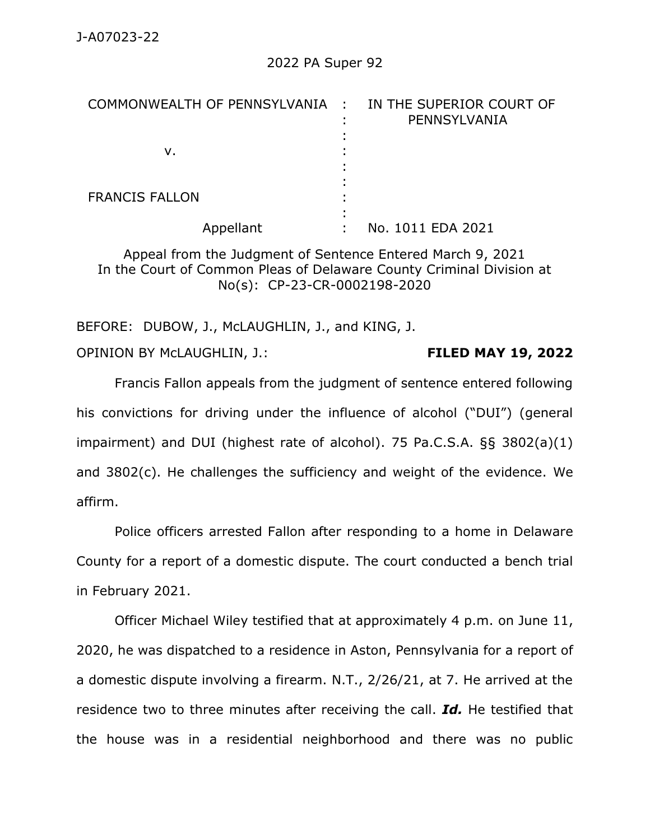| COMMONWEALTH OF PENNSYLVANIA : IN THE SUPERIOR COURT OF | PENNSYLVANIA      |
|---------------------------------------------------------|-------------------|
|                                                         |                   |
| v.                                                      |                   |
|                                                         |                   |
|                                                         |                   |
| <b>FRANCIS FALLON</b>                                   |                   |
|                                                         |                   |
| Appellant                                               | No. 1011 EDA 2021 |

Appeal from the Judgment of Sentence Entered March 9, 2021 In the Court of Common Pleas of Delaware County Criminal Division at No(s): CP-23-CR-0002198-2020

BEFORE: DUBOW, J., McLAUGHLIN, J., and KING, J. OPINION BY McLAUGHLIN, J.: **FILED MAY 19, 2022**

Francis Fallon appeals from the judgment of sentence entered following his convictions for driving under the influence of alcohol ("DUI") (general impairment) and DUI (highest rate of alcohol). 75 Pa.C.S.A. §§ 3802(a)(1) and 3802(c). He challenges the sufficiency and weight of the evidence. We affirm.

Police officers arrested Fallon after responding to a home in Delaware County for a report of a domestic dispute. The court conducted a bench trial in February 2021.

Officer Michael Wiley testified that at approximately 4 p.m. on June 11, 2020, he was dispatched to a residence in Aston, Pennsylvania for a report of a domestic dispute involving a firearm. N.T., 2/26/21, at 7. He arrived at the residence two to three minutes after receiving the call. *Id.* He testified that the house was in a residential neighborhood and there was no public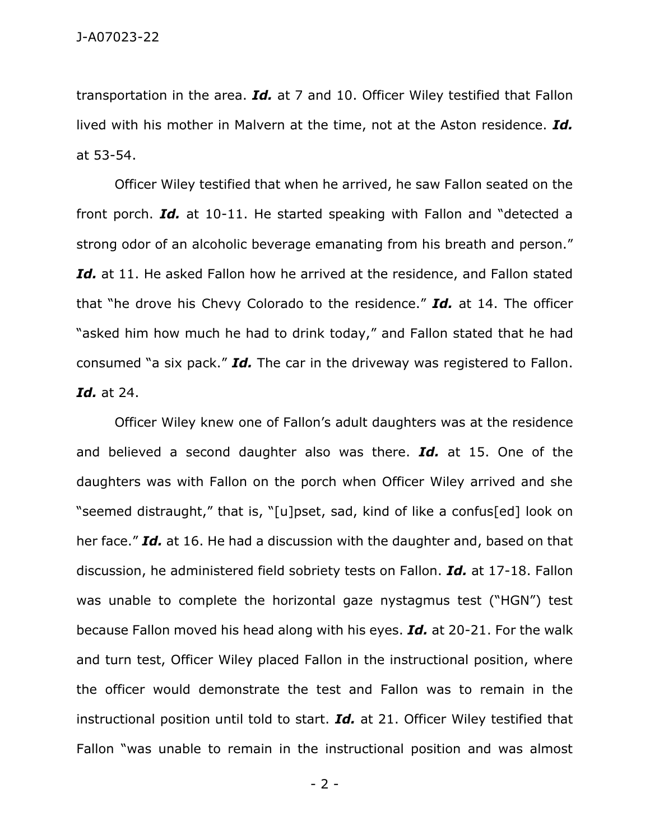transportation in the area. *Id.* at 7 and 10. Officer Wiley testified that Fallon lived with his mother in Malvern at the time, not at the Aston residence. *Id.* at 53-54.

Officer Wiley testified that when he arrived, he saw Fallon seated on the front porch. *Id.* at 10-11. He started speaking with Fallon and "detected a strong odor of an alcoholic beverage emanating from his breath and person." *Id.* at 11. He asked Fallon how he arrived at the residence, and Fallon stated that "he drove his Chevy Colorado to the residence." *Id.* at 14. The officer "asked him how much he had to drink today," and Fallon stated that he had consumed "a six pack." *Id.* The car in the driveway was registered to Fallon. *Id.* at 24.

Officer Wiley knew one of Fallon's adult daughters was at the residence and believed a second daughter also was there. *Id.* at 15. One of the daughters was with Fallon on the porch when Officer Wiley arrived and she "seemed distraught," that is, "[u]pset, sad, kind of like a confus[ed] look on her face." *Id.* at 16. He had a discussion with the daughter and, based on that discussion, he administered field sobriety tests on Fallon. *Id.* at 17-18. Fallon was unable to complete the horizontal gaze nystagmus test ("HGN") test because Fallon moved his head along with his eyes. *Id.* at 20-21. For the walk and turn test, Officer Wiley placed Fallon in the instructional position, where the officer would demonstrate the test and Fallon was to remain in the instructional position until told to start. *Id.* at 21. Officer Wiley testified that Fallon "was unable to remain in the instructional position and was almost

- 2 -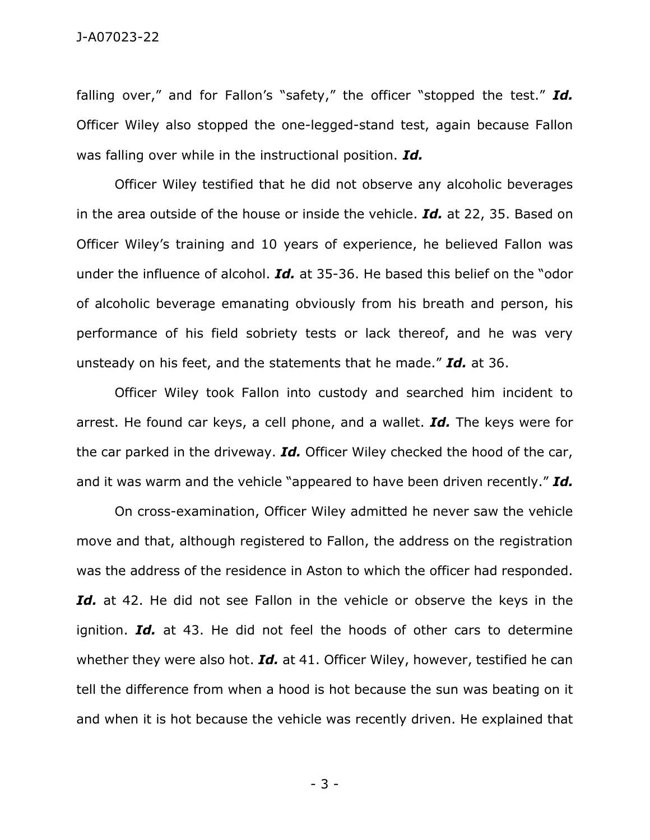falling over," and for Fallon's "safety," the officer "stopped the test." *Id.* Officer Wiley also stopped the one-legged-stand test, again because Fallon was falling over while in the instructional position. *Id.*

Officer Wiley testified that he did not observe any alcoholic beverages in the area outside of the house or inside the vehicle. *Id.* at 22, 35. Based on Officer Wiley's training and 10 years of experience, he believed Fallon was under the influence of alcohol. *Id.* at 35-36. He based this belief on the "odor of alcoholic beverage emanating obviously from his breath and person, his performance of his field sobriety tests or lack thereof, and he was very unsteady on his feet, and the statements that he made." *Id.* at 36.

Officer Wiley took Fallon into custody and searched him incident to arrest. He found car keys, a cell phone, and a wallet. *Id.* The keys were for the car parked in the driveway. *Id.* Officer Wiley checked the hood of the car, and it was warm and the vehicle "appeared to have been driven recently." *Id.*

On cross-examination, Officer Wiley admitted he never saw the vehicle move and that, although registered to Fallon, the address on the registration was the address of the residence in Aston to which the officer had responded. *Id.* at 42. He did not see Fallon in the vehicle or observe the keys in the ignition. *Id.* at 43. He did not feel the hoods of other cars to determine whether they were also hot. *Id.* at 41. Officer Wiley, however, testified he can tell the difference from when a hood is hot because the sun was beating on it and when it is hot because the vehicle was recently driven. He explained that

- 3 -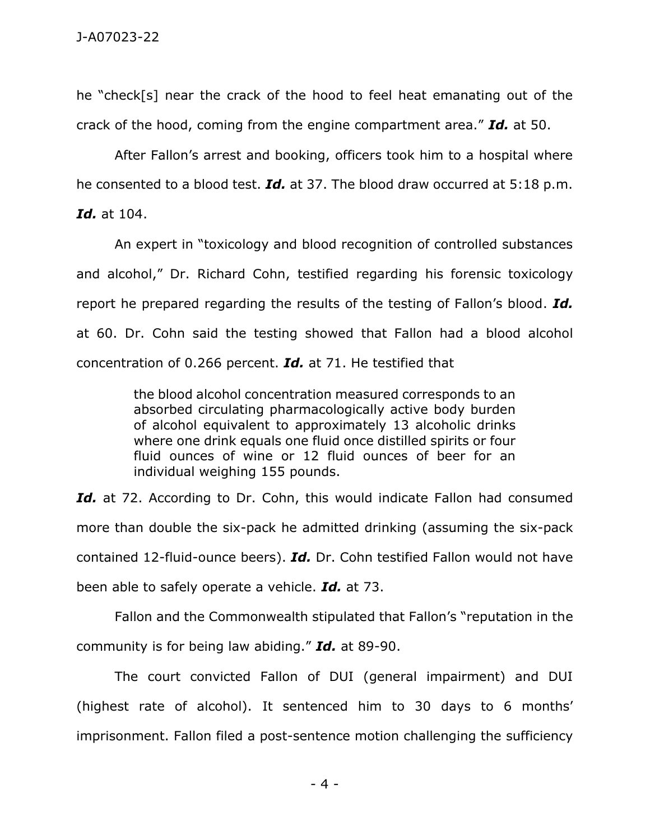he "check[s] near the crack of the hood to feel heat emanating out of the crack of the hood, coming from the engine compartment area." *Id.* at 50.

After Fallon's arrest and booking, officers took him to a hospital where he consented to a blood test. *Id.* at 37. The blood draw occurred at 5:18 p.m.

*Id.* at 104.

An expert in "toxicology and blood recognition of controlled substances and alcohol," Dr. Richard Cohn, testified regarding his forensic toxicology report he prepared regarding the results of the testing of Fallon's blood. *Id.* at 60. Dr. Cohn said the testing showed that Fallon had a blood alcohol concentration of 0.266 percent. *Id.* at 71. He testified that

> the blood alcohol concentration measured corresponds to an absorbed circulating pharmacologically active body burden of alcohol equivalent to approximately 13 alcoholic drinks where one drink equals one fluid once distilled spirits or four fluid ounces of wine or 12 fluid ounces of beer for an individual weighing 155 pounds.

Id. at 72. According to Dr. Cohn, this would indicate Fallon had consumed more than double the six-pack he admitted drinking (assuming the six-pack contained 12-fluid-ounce beers). *Id.* Dr. Cohn testified Fallon would not have been able to safely operate a vehicle. *Id.* at 73.

Fallon and the Commonwealth stipulated that Fallon's "reputation in the community is for being law abiding." *Id.* at 89-90.

The court convicted Fallon of DUI (general impairment) and DUI (highest rate of alcohol). It sentenced him to 30 days to 6 months' imprisonment. Fallon filed a post-sentence motion challenging the sufficiency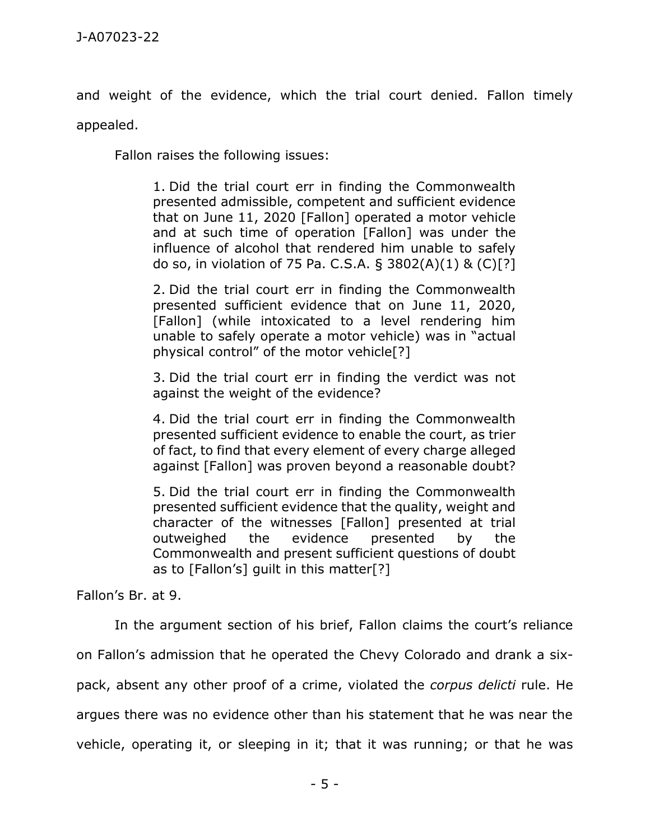and weight of the evidence, which the trial court denied. Fallon timely

appealed.

Fallon raises the following issues:

1. Did the trial court err in finding the Commonwealth presented admissible, competent and sufficient evidence that on June 11, 2020 [Fallon] operated a motor vehicle and at such time of operation [Fallon] was under the influence of alcohol that rendered him unable to safely do so, in violation of 75 Pa. C.S.A. § 3802(A)(1) & (C)[?]

2. Did the trial court err in finding the Commonwealth presented sufficient evidence that on June 11, 2020, [Fallon] (while intoxicated to a level rendering him unable to safely operate a motor vehicle) was in "actual physical control" of the motor vehicle[?]

3. Did the trial court err in finding the verdict was not against the weight of the evidence?

4. Did the trial court err in finding the Commonwealth presented sufficient evidence to enable the court, as trier of fact, to find that every element of every charge alleged against [Fallon] was proven beyond a reasonable doubt?

5. Did the trial court err in finding the Commonwealth presented sufficient evidence that the quality, weight and character of the witnesses [Fallon] presented at trial outweighed the evidence presented by the Commonwealth and present sufficient questions of doubt as to [Fallon's] guilt in this matter[?]

Fallon's Br. at 9.

In the argument section of his brief, Fallon claims the court's reliance on Fallon's admission that he operated the Chevy Colorado and drank a sixpack, absent any other proof of a crime, violated the *corpus delicti* rule. He argues there was no evidence other than his statement that he was near the vehicle, operating it, or sleeping in it; that it was running; or that he was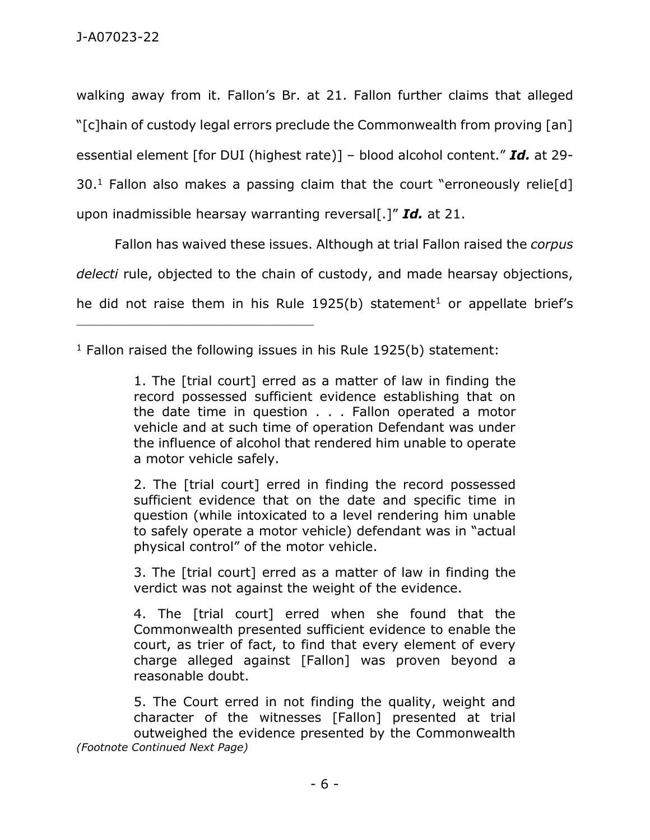walking away from it. Fallon's Br. at 21. Fallon further claims that alleged "[c]hain of custody legal errors preclude the Commonwealth from proving [an] essential element [for DUI (highest rate)] – blood alcohol content." *Id.* at 29-  $30<sup>1</sup>$  Fallon also makes a passing claim that the court "erroneously relie[d] upon inadmissible hearsay warranting reversal[.]" *Id.* at 21.

Fallon has waived these issues. Although at trial Fallon raised the *corpus delecti* rule, objected to the chain of custody, and made hearsay objections, he did not raise them in his Rule 1925(b) statement<sup>1</sup> or appellate brief's

 $1$  Fallon raised the following issues in his Rule 1925(b) statement:

\_\_\_\_\_\_\_\_\_\_\_\_\_\_\_\_\_\_\_\_\_\_\_\_\_\_\_\_\_\_\_\_\_\_\_\_\_\_\_\_\_\_\_\_

1. The [trial court] erred as a matter of law in finding the record possessed sufficient evidence establishing that on the date time in question . . . Fallon operated a motor vehicle and at such time of operation Defendant was under the influence of alcohol that rendered him unable to operate a motor vehicle safely.

2. The [trial court] erred in finding the record possessed sufficient evidence that on the date and specific time in question (while intoxicated to a level rendering him unable to safely operate a motor vehicle) defendant was in "actual physical control" of the motor vehicle.

3. The [trial court] erred as a matter of law in finding the verdict was not against the weight of the evidence.

4. The [trial court] erred when she found that the Commonwealth presented sufficient evidence to enable the court, as trier of fact, to find that every element of every charge alleged against [Fallon] was proven beyond a reasonable doubt.

5. The Court erred in not finding the quality, weight and character of the witnesses [Fallon] presented at trial outweighed the evidence presented by the Commonwealth *(Footnote Continued Next Page)*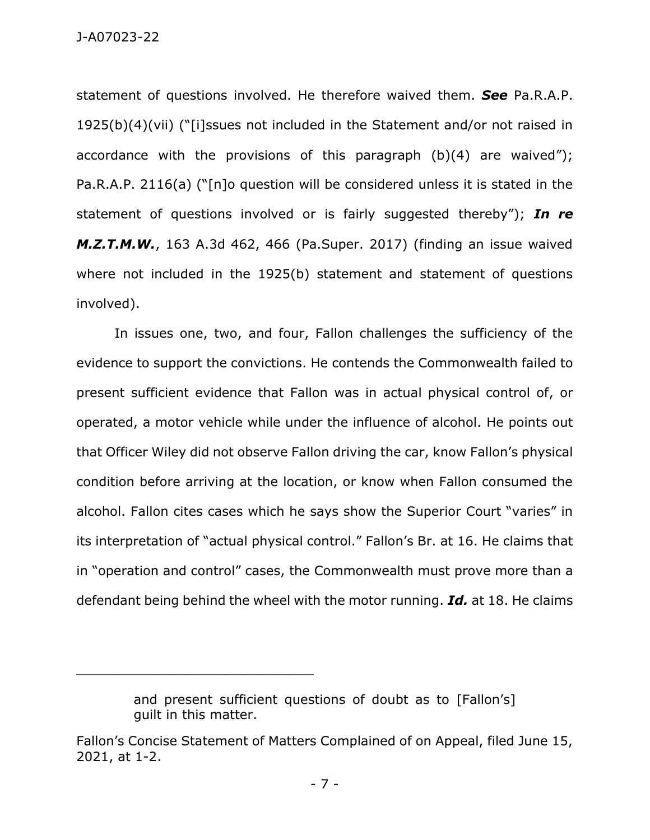statement of questions involved. He therefore waived them. *See* Pa.R.A.P. 1925(b)(4)(vii) ("[i]ssues not included in the Statement and/or not raised in accordance with the provisions of this paragraph  $(b)(4)$  are waived"); Pa.R.A.P. 2116(a) ("[n]o question will be considered unless it is stated in the statement of questions involved or is fairly suggested thereby"); *In re M.Z.T.M.W.*, 163 A.3d 462, 466 (Pa.Super. 2017) (finding an issue waived where not included in the 1925(b) statement and statement of questions involved).

In issues one, two, and four, Fallon challenges the sufficiency of the evidence to support the convictions. He contends the Commonwealth failed to present sufficient evidence that Fallon was in actual physical control of, or operated, a motor vehicle while under the influence of alcohol. He points out that Officer Wiley did not observe Fallon driving the car, know Fallon's physical condition before arriving at the location, or know when Fallon consumed the alcohol. Fallon cites cases which he says show the Superior Court "varies" in its interpretation of "actual physical control." Fallon's Br. at 16. He claims that in "operation and control" cases, the Commonwealth must prove more than a defendant being behind the wheel with the motor running. *Id.* at 18. He claims

\_\_\_\_\_\_\_\_\_\_\_\_\_\_\_\_\_\_\_\_\_\_\_\_\_\_\_\_\_\_\_\_\_\_\_\_\_\_\_\_\_\_\_\_

and present sufficient questions of doubt as to [Fallon's] guilt in this matter.

Fallon's Concise Statement of Matters Complained of on Appeal, filed June 15, 2021, at 1-2.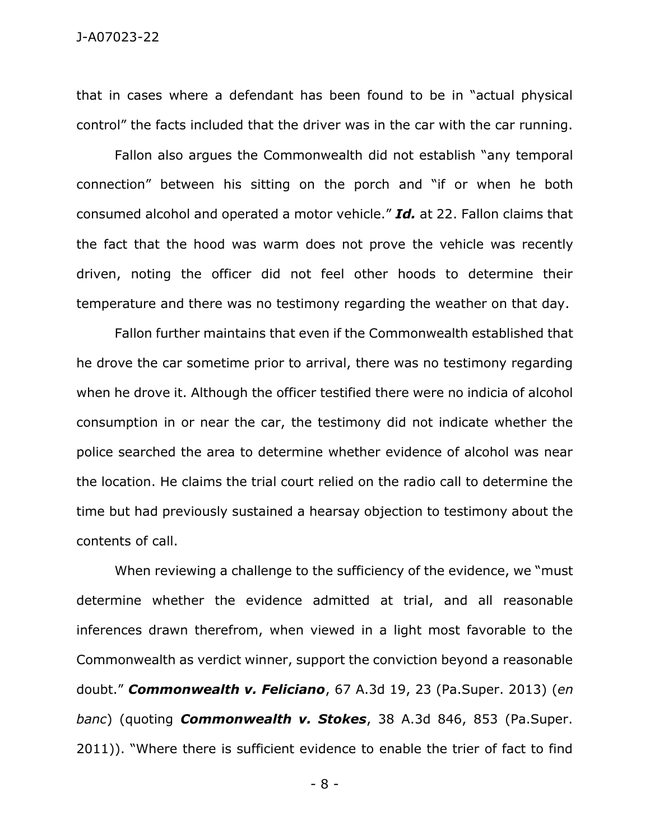that in cases where a defendant has been found to be in "actual physical control" the facts included that the driver was in the car with the car running.

Fallon also argues the Commonwealth did not establish "any temporal connection" between his sitting on the porch and "if or when he both consumed alcohol and operated a motor vehicle." *Id.* at 22. Fallon claims that the fact that the hood was warm does not prove the vehicle was recently driven, noting the officer did not feel other hoods to determine their temperature and there was no testimony regarding the weather on that day.

Fallon further maintains that even if the Commonwealth established that he drove the car sometime prior to arrival, there was no testimony regarding when he drove it. Although the officer testified there were no indicia of alcohol consumption in or near the car, the testimony did not indicate whether the police searched the area to determine whether evidence of alcohol was near the location. He claims the trial court relied on the radio call to determine the time but had previously sustained a hearsay objection to testimony about the contents of call.

When reviewing a challenge to the sufficiency of the evidence, we "must determine whether the evidence admitted at trial, and all reasonable inferences drawn therefrom, when viewed in a light most favorable to the Commonwealth as verdict winner, support the conviction beyond a reasonable doubt." *Commonwealth v. Feliciano*, 67 A.3d 19, 23 (Pa.Super. 2013) (*en banc*) (quoting *Commonwealth v. Stokes*, 38 A.3d 846, 853 (Pa.Super. 2011)). "Where there is sufficient evidence to enable the trier of fact to find

- 8 -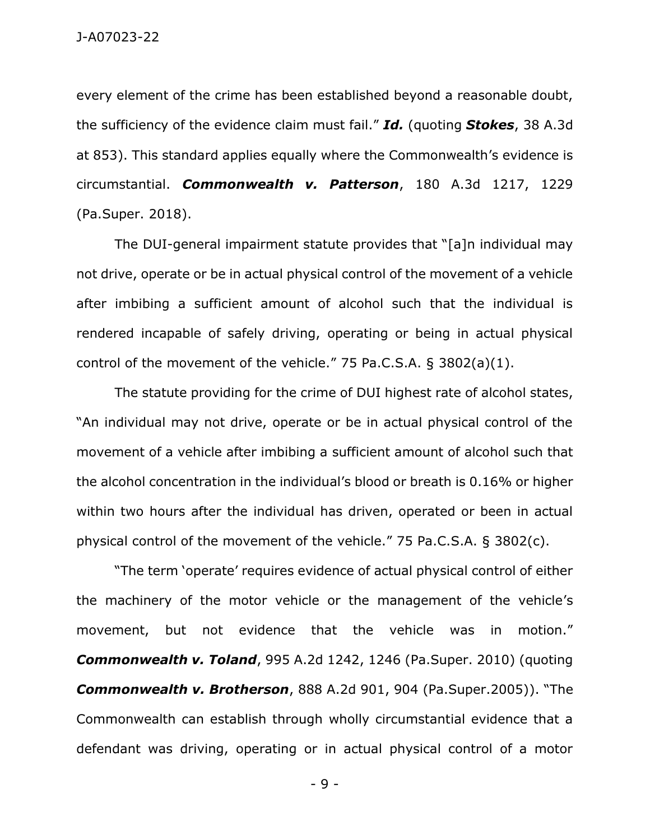every element of the crime has been established beyond a reasonable doubt, the sufficiency of the evidence claim must fail." *Id.* (quoting *Stokes*, 38 A.3d at 853). This standard applies equally where the Commonwealth's evidence is circumstantial. *Commonwealth v. Patterson*, 180 A.3d 1217, 1229 (Pa.Super. 2018).

The DUI-general impairment statute provides that "[a]n individual may not drive, operate or be in actual physical control of the movement of a vehicle after imbibing a sufficient amount of alcohol such that the individual is rendered incapable of safely driving, operating or being in actual physical control of the movement of the vehicle." 75 Pa.C.S.A. § 3802(a)(1).

The statute providing for the crime of DUI highest rate of alcohol states, "An individual may not drive, operate or be in actual physical control of the movement of a vehicle after imbibing a sufficient amount of alcohol such that the alcohol concentration in the individual's blood or breath is 0.16% or higher within two hours after the individual has driven, operated or been in actual physical control of the movement of the vehicle." 75 Pa.C.S.A. § 3802(c).

"The term 'operate' requires evidence of actual physical control of either the machinery of the motor vehicle or the management of the vehicle's movement, but not evidence that the vehicle was in motion." *Commonwealth v. Toland*, 995 A.2d 1242, 1246 (Pa.Super. 2010) (quoting *Commonwealth v. Brotherson*, 888 A.2d 901, 904 (Pa.Super.2005)). "The Commonwealth can establish through wholly circumstantial evidence that a defendant was driving, operating or in actual physical control of a motor

- 9 -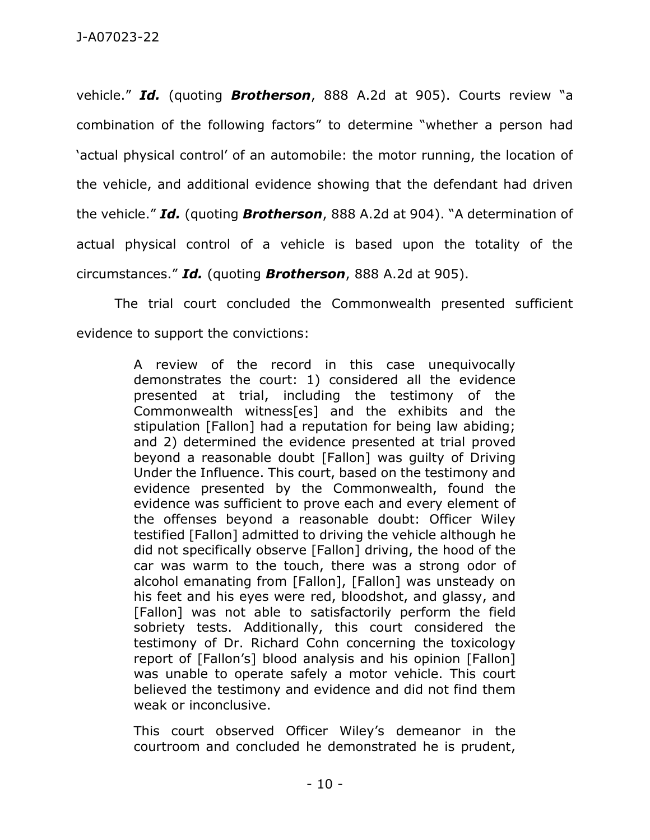vehicle." *Id.* (quoting *Brotherson*, 888 A.2d at 905). Courts review "a combination of the following factors" to determine "whether a person had 'actual physical control' of an automobile: the motor running, the location of the vehicle, and additional evidence showing that the defendant had driven the vehicle." *Id.* (quoting *Brotherson*, 888 A.2d at 904). "A determination of actual physical control of a vehicle is based upon the totality of the circumstances." *Id.* (quoting *Brotherson*, 888 A.2d at 905).

The trial court concluded the Commonwealth presented sufficient evidence to support the convictions:

> A review of the record in this case unequivocally demonstrates the court: 1) considered all the evidence presented at trial, including the testimony of the Commonwealth witness[es] and the exhibits and the stipulation [Fallon] had a reputation for being law abiding; and 2) determined the evidence presented at trial proved beyond a reasonable doubt [Fallon] was guilty of Driving Under the Influence. This court, based on the testimony and evidence presented by the Commonwealth, found the evidence was sufficient to prove each and every element of the offenses beyond a reasonable doubt: Officer Wiley testified [Fallon] admitted to driving the vehicle although he did not specifically observe [Fallon] driving, the hood of the car was warm to the touch, there was a strong odor of alcohol emanating from [Fallon], [Fallon] was unsteady on his feet and his eyes were red, bloodshot, and glassy, and [Fallon] was not able to satisfactorily perform the field sobriety tests. Additionally, this court considered the testimony of Dr. Richard Cohn concerning the toxicology report of [Fallon's] blood analysis and his opinion [Fallon] was unable to operate safely a motor vehicle. This court believed the testimony and evidence and did not find them weak or inconclusive.

This court observed Officer Wiley's demeanor in the courtroom and concluded he demonstrated he is prudent,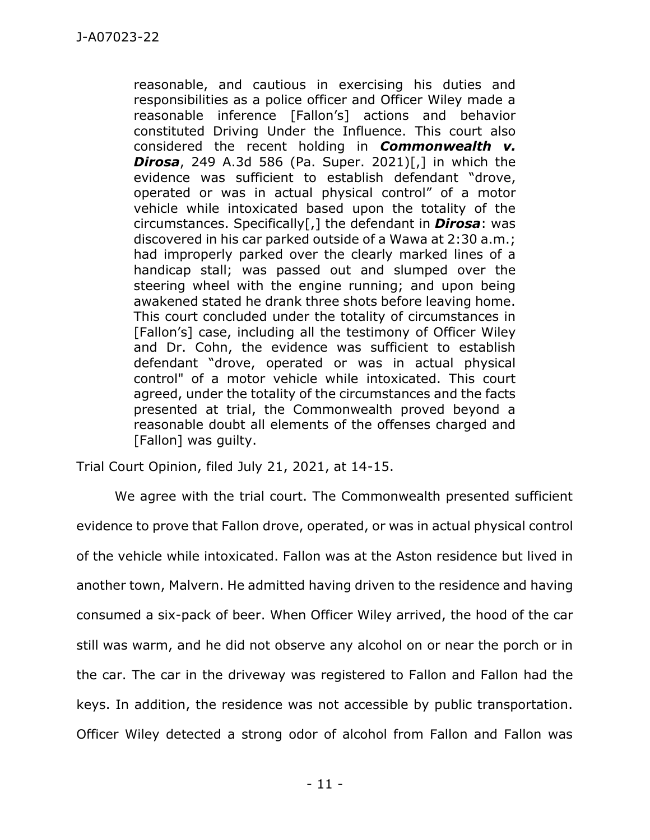reasonable, and cautious in exercising his duties and responsibilities as a police officer and Officer Wiley made a reasonable inference [Fallon's] actions and behavior constituted Driving Under the Influence. This court also considered the recent holding in *Commonwealth v. Dirosa*, 249 A.3d 586 (Pa. Super. 2021)[,] in which the evidence was sufficient to establish defendant "drove, operated or was in actual physical control" of a motor vehicle while intoxicated based upon the totality of the circumstances. Specifically[,] the defendant in *Dirosa*: was discovered in his car parked outside of a Wawa at 2:30 a.m.; had improperly parked over the clearly marked lines of a handicap stall; was passed out and slumped over the steering wheel with the engine running; and upon being awakened stated he drank three shots before leaving home. This court concluded under the totality of circumstances in [Fallon's] case, including all the testimony of Officer Wiley and Dr. Cohn, the evidence was sufficient to establish defendant "drove, operated or was in actual physical control" of a motor vehicle while intoxicated. This court agreed, under the totality of the circumstances and the facts presented at trial, the Commonwealth proved beyond a reasonable doubt all elements of the offenses charged and [Fallon] was quilty.

Trial Court Opinion, filed July 21, 2021, at 14-15.

We agree with the trial court. The Commonwealth presented sufficient evidence to prove that Fallon drove, operated, or was in actual physical control of the vehicle while intoxicated. Fallon was at the Aston residence but lived in another town, Malvern. He admitted having driven to the residence and having consumed a six-pack of beer. When Officer Wiley arrived, the hood of the car still was warm, and he did not observe any alcohol on or near the porch or in the car. The car in the driveway was registered to Fallon and Fallon had the keys. In addition, the residence was not accessible by public transportation. Officer Wiley detected a strong odor of alcohol from Fallon and Fallon was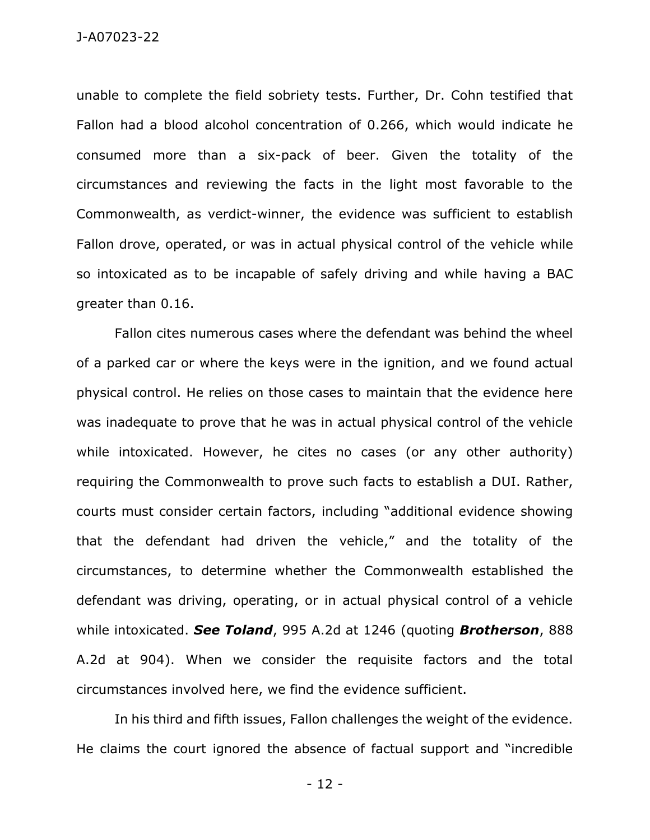unable to complete the field sobriety tests. Further, Dr. Cohn testified that Fallon had a blood alcohol concentration of 0.266, which would indicate he consumed more than a six-pack of beer. Given the totality of the circumstances and reviewing the facts in the light most favorable to the Commonwealth, as verdict-winner, the evidence was sufficient to establish Fallon drove, operated, or was in actual physical control of the vehicle while so intoxicated as to be incapable of safely driving and while having a BAC greater than 0.16.

Fallon cites numerous cases where the defendant was behind the wheel of a parked car or where the keys were in the ignition, and we found actual physical control. He relies on those cases to maintain that the evidence here was inadequate to prove that he was in actual physical control of the vehicle while intoxicated. However, he cites no cases (or any other authority) requiring the Commonwealth to prove such facts to establish a DUI. Rather, courts must consider certain factors, including "additional evidence showing that the defendant had driven the vehicle," and the totality of the circumstances, to determine whether the Commonwealth established the defendant was driving, operating, or in actual physical control of a vehicle while intoxicated. *See Toland*, 995 A.2d at 1246 (quoting *Brotherson*, 888 A.2d at 904). When we consider the requisite factors and the total circumstances involved here, we find the evidence sufficient.

In his third and fifth issues, Fallon challenges the weight of the evidence. He claims the court ignored the absence of factual support and "incredible

- 12 -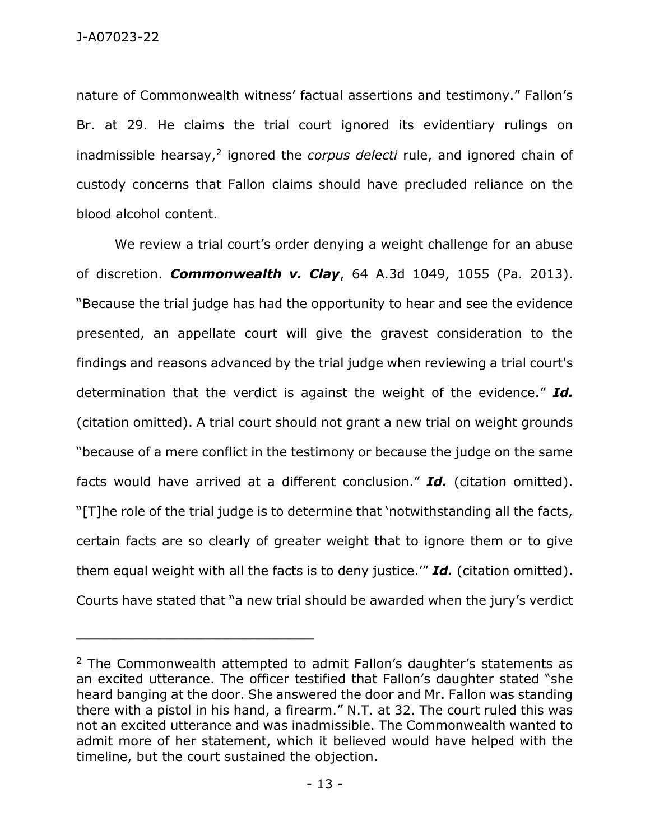nature of Commonwealth witness' factual assertions and testimony." Fallon's Br. at 29. He claims the trial court ignored its evidentiary rulings on inadmissible hearsay,<sup>2</sup> ignored the *corpus delecti* rule, and ignored chain of custody concerns that Fallon claims should have precluded reliance on the blood alcohol content.

We review a trial court's order denying a weight challenge for an abuse of discretion. *Commonwealth v. Clay*, 64 A.3d 1049, 1055 (Pa. 2013). "Because the trial judge has had the opportunity to hear and see the evidence presented, an appellate court will give the gravest consideration to the findings and reasons advanced by the trial judge when reviewing a trial court's determination that the verdict is against the weight of the evidence." *Id.* (citation omitted). A trial court should not grant a new trial on weight grounds "because of a mere conflict in the testimony or because the judge on the same facts would have arrived at a different conclusion." *Id.* (citation omitted). "[T]he role of the trial judge is to determine that 'notwithstanding all the facts, certain facts are so clearly of greater weight that to ignore them or to give them equal weight with all the facts is to deny justice.'" *Id.* (citation omitted). Courts have stated that "a new trial should be awarded when the jury's verdict

\_\_\_\_\_\_\_\_\_\_\_\_\_\_\_\_\_\_\_\_\_\_\_\_\_\_\_\_\_\_\_\_\_\_\_\_\_\_\_\_\_\_\_\_

<sup>&</sup>lt;sup>2</sup> The Commonwealth attempted to admit Fallon's daughter's statements as an excited utterance. The officer testified that Fallon's daughter stated "she heard banging at the door. She answered the door and Mr. Fallon was standing there with a pistol in his hand, a firearm." N.T. at 32. The court ruled this was not an excited utterance and was inadmissible. The Commonwealth wanted to admit more of her statement, which it believed would have helped with the timeline, but the court sustained the objection.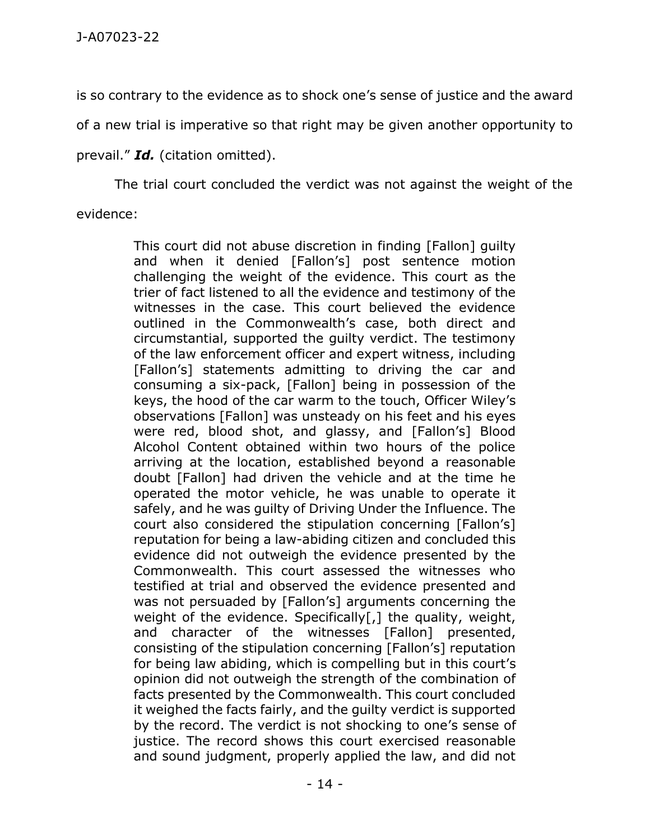is so contrary to the evidence as to shock one's sense of justice and the award

of a new trial is imperative so that right may be given another opportunity to

prevail." *Id.* (citation omitted).

The trial court concluded the verdict was not against the weight of the

evidence:

This court did not abuse discretion in finding [Fallon] guilty and when it denied [Fallon's] post sentence motion challenging the weight of the evidence. This court as the trier of fact listened to all the evidence and testimony of the witnesses in the case. This court believed the evidence outlined in the Commonwealth's case, both direct and circumstantial, supported the guilty verdict. The testimony of the law enforcement officer and expert witness, including [Fallon's] statements admitting to driving the car and consuming a six-pack, [Fallon] being in possession of the keys, the hood of the car warm to the touch, Officer Wiley's observations [Fallon] was unsteady on his feet and his eyes were red, blood shot, and glassy, and [Fallon's] Blood Alcohol Content obtained within two hours of the police arriving at the location, established beyond a reasonable doubt [Fallon] had driven the vehicle and at the time he operated the motor vehicle, he was unable to operate it safely, and he was guilty of Driving Under the Influence. The court also considered the stipulation concerning [Fallon's] reputation for being a law-abiding citizen and concluded this evidence did not outweigh the evidence presented by the Commonwealth. This court assessed the witnesses who testified at trial and observed the evidence presented and was not persuaded by [Fallon's] arguments concerning the weight of the evidence. Specifically[,] the quality, weight, and character of the witnesses [Fallon] presented, consisting of the stipulation concerning [Fallon's] reputation for being law abiding, which is compelling but in this court's opinion did not outweigh the strength of the combination of facts presented by the Commonwealth. This court concluded it weighed the facts fairly, and the guilty verdict is supported by the record. The verdict is not shocking to one's sense of justice. The record shows this court exercised reasonable and sound judgment, properly applied the law, and did not